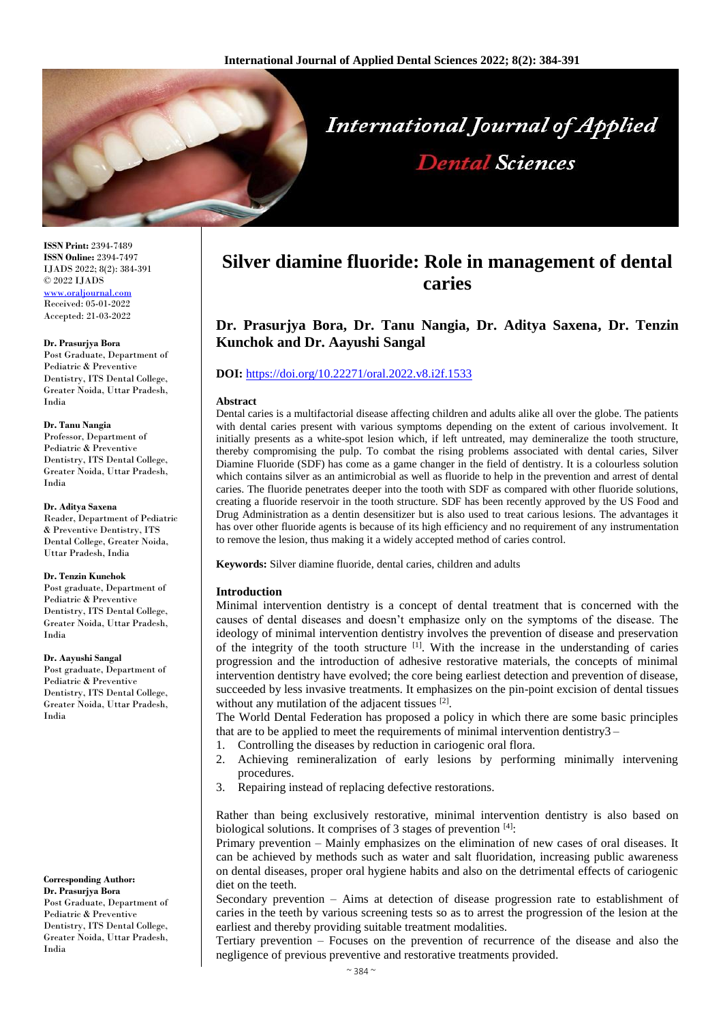

**ISSN Print:** 2394-7489 **ISSN Online:** 2394-7497 IJADS 2022; 8(2): 384-391 © 2022 IJADS [www.oraljournal.com](http://www.oraljournal.com/) Received: 05-01-2022 Accepted: 21-03-2022

#### **Dr. Prasurjya Bora**

Post Graduate, Department of Pediatric & Preventive Dentistry, ITS Dental College, Greater Noida, Uttar Pradesh, India

### **Dr. Tanu Nangia**

Professor, Department of Pediatric & Preventive Dentistry, ITS Dental College, Greater Noida, Uttar Pradesh, India

#### **Dr. Aditya Saxena**

Reader, Department of Pediatric & Preventive Dentistry, ITS Dental College, Greater Noida, Uttar Pradesh, India

### **Dr. Tenzin Kunchok**

Post graduate, Department of Pediatric & Preventive Dentistry, ITS Dental College, Greater Noida, Uttar Pradesh, India

### **Dr. Aayushi Sangal**

Post graduate, Department of Pediatric & Preventive Dentistry, ITS Dental College, Greater Noida, Uttar Pradesh, India

**Corresponding Author: Dr. Prasurjya Bora** Post Graduate, Department of Pediatric & Preventive Dentistry, ITS Dental College, Greater Noida, Uttar Pradesh, India

# **Silver diamine fluoride: Role in management of dental caries**

**Dr. Prasurjya Bora, Dr. Tanu Nangia, Dr. Aditya Saxena, Dr. Tenzin Kunchok and Dr. Aayushi Sangal**

## **DOI:** <https://doi.org/10.22271/oral.2022.v8.i2f.1533>

### **Abstract**

Dental caries is a multifactorial disease affecting children and adults alike all over the globe. The patients with dental caries present with various symptoms depending on the extent of carious involvement. It initially presents as a white-spot lesion which, if left untreated, may demineralize the tooth structure, thereby compromising the pulp. To combat the rising problems associated with dental caries, Silver Diamine Fluoride (SDF) has come as a game changer in the field of dentistry. It is a colourless solution which contains silver as an antimicrobial as well as fluoride to help in the prevention and arrest of dental caries. The fluoride penetrates deeper into the tooth with SDF as compared with other fluoride solutions, creating a fluoride reservoir in the tooth structure. SDF has been recently approved by the US Food and Drug Administration as a dentin desensitizer but is also used to treat carious lesions. The advantages it has over other fluoride agents is because of its high efficiency and no requirement of any instrumentation to remove the lesion, thus making it a widely accepted method of caries control.

**Keywords:** Silver diamine fluoride, dental caries, children and adults

### **Introduction**

Minimal intervention dentistry is a concept of dental treatment that is concerned with the causes of dental diseases and doesn't emphasize only on the symptoms of the disease. The ideology of minimal intervention dentistry involves the prevention of disease and preservation of the integrity of the tooth structure [1]. With the increase in the understanding of caries progression and the introduction of adhesive restorative materials, the concepts of minimal intervention dentistry have evolved; the core being earliest detection and prevention of disease, succeeded by less invasive treatments. It emphasizes on the pin-point excision of dental tissues without any mutilation of the adjacent tissues  $[2]$ .

The World Dental Federation has proposed a policy in which there are some basic principles that are to be applied to meet the requirements of minimal intervention dentistry3 –

- 1. Controlling the diseases by reduction in cariogenic oral flora.
- 2. Achieving remineralization of early lesions by performing minimally intervening procedures.
- 3. Repairing instead of replacing defective restorations.

Rather than being exclusively restorative, minimal intervention dentistry is also based on biological solutions. It comprises of 3 stages of prevention [4]:

Primary prevention – Mainly emphasizes on the elimination of new cases of oral diseases. It can be achieved by methods such as water and salt fluoridation, increasing public awareness on dental diseases, proper oral hygiene habits and also on the detrimental effects of cariogenic diet on the teeth.

Secondary prevention – Aims at detection of disease progression rate to establishment of caries in the teeth by various screening tests so as to arrest the progression of the lesion at the earliest and thereby providing suitable treatment modalities.

Tertiary prevention – Focuses on the prevention of recurrence of the disease and also the negligence of previous preventive and restorative treatments provided.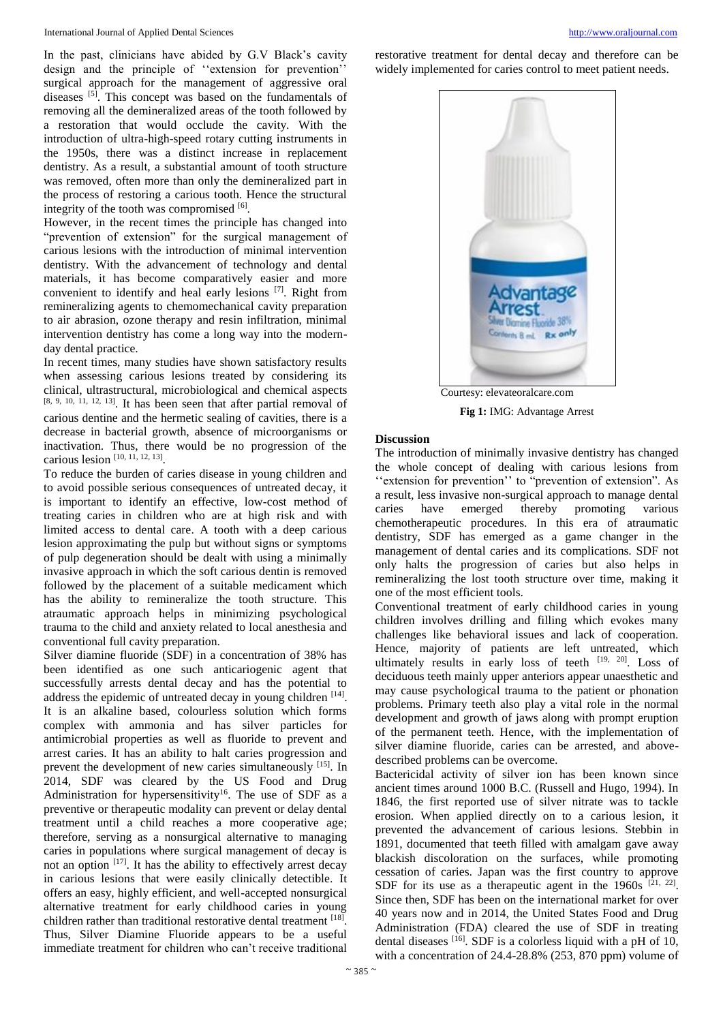In the past, clinicians have abided by G.V Black's cavity design and the principle of ''extension for prevention'' surgical approach for the management of aggressive oral diseases [5]. This concept was based on the fundamentals of removing all the demineralized areas of the tooth followed by a restoration that would occlude the cavity. With the introduction of ultra-high-speed rotary cutting instruments in the 1950s, there was a distinct increase in replacement dentistry. As a result, a substantial amount of tooth structure was removed, often more than only the demineralized part in the process of restoring a carious tooth. Hence the structural integrity of the tooth was compromised [6].

However, in the recent times the principle has changed into "prevention of extension" for the surgical management of carious lesions with the introduction of minimal intervention dentistry. With the advancement of technology and dental materials, it has become comparatively easier and more convenient to identify and heal early lesions  $[7]$ . Right from remineralizing agents to chemomechanical cavity preparation to air abrasion, ozone therapy and resin infiltration, minimal intervention dentistry has come a long way into the modernday dental practice.

In recent times, many studies have shown satisfactory results when assessing carious lesions treated by considering its clinical, ultrastructural, microbiological and chemical aspects [8, 9, 10, 11, 12, 13] . It has been seen that after partial removal of carious dentine and the hermetic sealing of cavities, there is a decrease in bacterial growth, absence of microorganisms or inactivation. Thus, there would be no progression of the carious lesion [10, 11, 12, 13] .

To reduce the burden of caries disease in young children and to avoid possible serious consequences of untreated decay, it is important to identify an effective, low-cost method of treating caries in children who are at high risk and with limited access to dental care. A tooth with a deep carious lesion approximating the pulp but without signs or symptoms of pulp degeneration should be dealt with using a minimally invasive approach in which the soft carious dentin is removed followed by the placement of a suitable medicament which has the ability to remineralize the tooth structure. This atraumatic approach helps in minimizing psychological trauma to the child and anxiety related to local anesthesia and conventional full cavity preparation.

Silver diamine fluoride (SDF) in a concentration of 38% has been identified as one such anticariogenic agent that successfully arrests dental decay and has the potential to address the epidemic of untreated decay in young children [14]. It is an alkaline based, colourless solution which forms complex with ammonia and has silver particles for antimicrobial properties as well as fluoride to prevent and arrest caries. It has an ability to halt caries progression and prevent the development of new caries simultaneously [15]. In 2014, SDF was cleared by the US Food and Drug Administration for hypersensitivity<sup>16</sup>. The use of SDF as a preventive or therapeutic modality can prevent or delay dental treatment until a child reaches a more cooperative age; therefore, serving as a nonsurgical alternative to managing caries in populations where surgical management of decay is not an option [17]. It has the ability to effectively arrest decay in carious lesions that were easily clinically detectible. It offers an easy, highly efficient, and well-accepted nonsurgical alternative treatment for early childhood caries in young children rather than traditional restorative dental treatment [18]. Thus, Silver Diamine Fluoride appears to be a useful immediate treatment for children who can't receive traditional

restorative treatment for dental decay and therefore can be widely implemented for caries control to meet patient needs.



**Fig 1:** IMG: Advantage Arrest

### **Discussion**

The introduction of minimally invasive dentistry has changed the whole concept of dealing with carious lesions from "extension for prevention" to "prevention of extension". As a result, less invasive non-surgical approach to manage dental caries have emerged thereby promoting various chemotherapeutic procedures. In this era of atraumatic dentistry, SDF has emerged as a game changer in the management of dental caries and its complications. SDF not only halts the progression of caries but also helps in remineralizing the lost tooth structure over time, making it one of the most efficient tools.

Conventional treatment of early childhood caries in young children involves drilling and filling which evokes many challenges like behavioral issues and lack of cooperation. Hence, majority of patients are left untreated, which ultimately results in early loss of teeth  $[19, 20]$ . Loss of deciduous teeth mainly upper anteriors appear unaesthetic and may cause psychological trauma to the patient or phonation problems. Primary teeth also play a vital role in the normal development and growth of jaws along with prompt eruption of the permanent teeth. Hence, with the implementation of silver diamine fluoride, caries can be arrested, and abovedescribed problems can be overcome.

Bactericidal activity of silver ion has been known since ancient times around 1000 B.C. (Russell and Hugo, 1994). In 1846, the first reported use of silver nitrate was to tackle erosion. When applied directly on to a carious lesion, it prevented the advancement of carious lesions. Stebbin in 1891, documented that teeth filled with amalgam gave away blackish discoloration on the surfaces, while promoting cessation of caries. Japan was the first country to approve SDF for its use as a therapeutic agent in the  $1960s$  <sup>[21, 22]</sup>. Since then, SDF has been on the international market for over 40 years now and in 2014, the United States Food and Drug Administration (FDA) cleared the use of SDF in treating dental diseases <sup>[16]</sup>. SDF is a colorless liquid with a pH of 10, with a concentration of  $24.4$ - $28.8\%$   $(253, 870$  ppm) volume of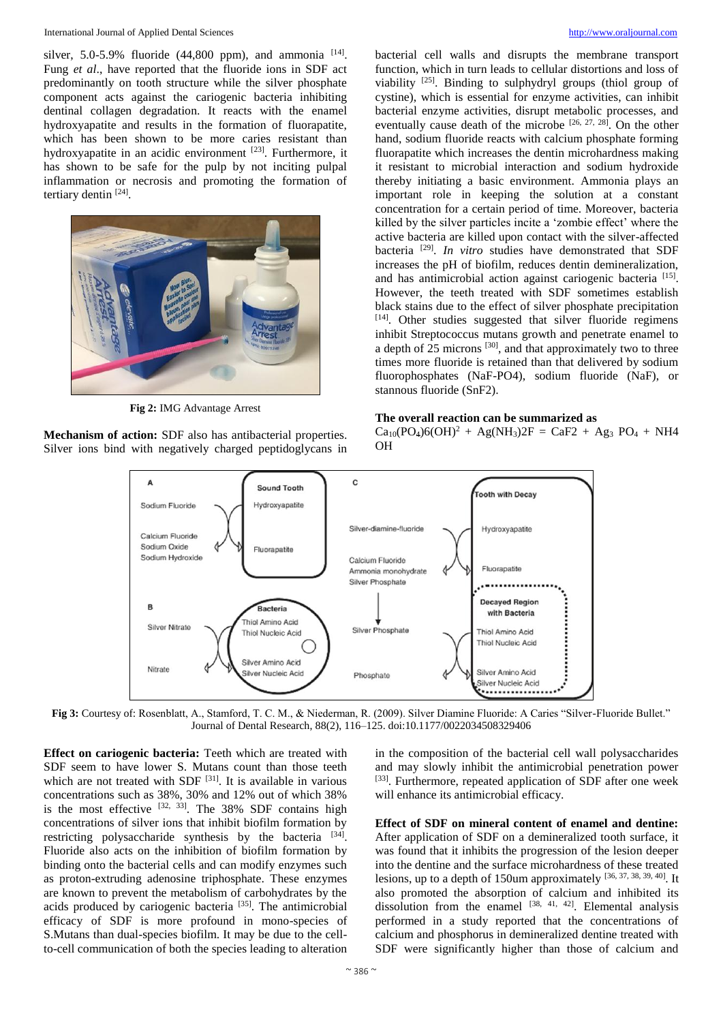### International Journal of Applied Dental Sciences [http://www.oraljournal.com](http://www.oraljournal.com/)

silver, 5.0-5.9% fluoride  $(44,800$  ppm), and ammonia  $[14]$ . Fung *et al*., have reported that the fluoride ions in SDF act predominantly on tooth structure while the silver phosphate component acts against the cariogenic bacteria inhibiting dentinal collagen degradation. It reacts with the enamel hydroxyapatite and results in the formation of fluorapatite, which has been shown to be more caries resistant than hydroxyapatite in an acidic environment [23]. Furthermore, it has shown to be safe for the pulp by not inciting pulpal inflammation or necrosis and promoting the formation of tertiary dentin [24].



**Fig 2:** IMG Advantage Arrest

**Mechanism of action:** SDF also has antibacterial properties. Silver ions bind with negatively charged peptidoglycans in bacterial cell walls and disrupts the membrane transport function, which in turn leads to cellular distortions and loss of viability <sup>[25]</sup>. Binding to sulphydryl groups (thiol group of cystine), which is essential for enzyme activities, can inhibit bacterial enzyme activities, disrupt metabolic processes, and eventually cause death of the microbe  $[26, 27, 28]$ . On the other hand, sodium fluoride reacts with calcium phosphate forming fluorapatite which increases the dentin microhardness making it resistant to microbial interaction and sodium hydroxide thereby initiating a basic environment. Ammonia plays an important role in keeping the solution at a constant concentration for a certain period of time. Moreover, bacteria killed by the silver particles incite a 'zombie effect' where the active bacteria are killed upon contact with the silver-affected bacteria [29] . *In vitro* studies have demonstrated that SDF increases the pH of biofilm, reduces dentin demineralization, and has antimicrobial action against cariogenic bacteria<sup>[15]</sup>. However, the teeth treated with SDF sometimes establish black stains due to the effect of silver phosphate precipitation [14] . Other studies suggested that silver fluoride regimens inhibit Streptococcus mutans growth and penetrate enamel to a depth of 25 microns<sup>[30]</sup>, and that approximately two to three times more fluoride is retained than that delivered by sodium fluorophosphates (NaF-PO4), sodium fluoride (NaF), or stannous fluoride (SnF2).

### **The overall reaction can be summarized as**

 $Ca_{10}(PO_4)6(OH)^2 + Ag(NH_3)2F = CaF2 + Ag_3 PO_4 + NH4$ OH



**Fig 3:** Courtesy of: Rosenblatt, A., Stamford, T. C. M., & Niederman, R. (2009). Silver Diamine Fluoride: A Caries "Silver-Fluoride Bullet." Journal of Dental Research, 88(2), 116–125. doi:10.1177/0022034508329406

**Effect on cariogenic bacteria:** Teeth which are treated with SDF seem to have lower S. Mutans count than those teeth which are not treated with SDF  $[31]$ . It is available in various concentrations such as 38%, 30% and 12% out of which 38% is the most effective  $[32, 33]$ . The 38% SDF contains high concentrations of silver ions that inhibit biofilm formation by restricting polysaccharide synthesis by the bacteria [34]. Fluoride also acts on the inhibition of biofilm formation by binding onto the bacterial cells and can modify enzymes such as proton-extruding adenosine triphosphate. These enzymes are known to prevent the metabolism of carbohydrates by the acids produced by cariogenic bacteria<sup>[35]</sup>. The antimicrobial efficacy of SDF is more profound in mono-species of S.Mutans than dual-species biofilm. It may be due to the cellto-cell communication of both the species leading to alteration

in the composition of the bacterial cell wall polysaccharides and may slowly inhibit the antimicrobial penetration power [33]. Furthermore, repeated application of SDF after one week will enhance its antimicrobial efficacy.

**Effect of SDF on mineral content of enamel and dentine:**  After application of SDF on a demineralized tooth surface, it was found that it inhibits the progression of the lesion deeper into the dentine and the surface microhardness of these treated lesions, up to a depth of 150 um approximately  $[36, 37, 38, 39, 40]$ . It also promoted the absorption of calcium and inhibited its dissolution from the enamel  $[38, 41, 42]$ . Elemental analysis performed in a study reported that the concentrations of calcium and phosphorus in demineralized dentine treated with SDF were significantly higher than those of calcium and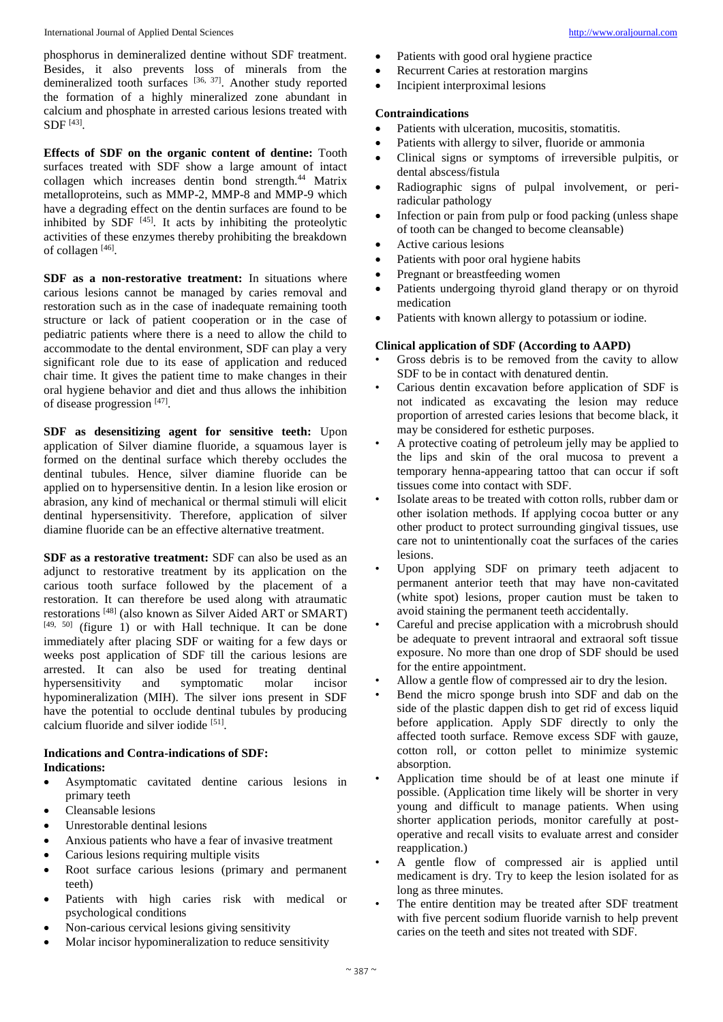phosphorus in demineralized dentine without SDF treatment. Besides, it also prevents loss of minerals from the demineralized tooth surfaces [36, 37]. Another study reported the formation of a highly mineralized zone abundant in calcium and phosphate in arrested carious lesions treated with  $SDF [43]$ .

**Effects of SDF on the organic content of dentine:** Tooth surfaces treated with SDF show a large amount of intact collagen which increases dentin bond strength. $44$  Matrix metalloproteins, such as MMP-2, MMP-8 and MMP-9 which have a degrading effect on the dentin surfaces are found to be inhibited by  $SDF$ <sup>[45]</sup>. It acts by inhibiting the proteolytic activities of these enzymes thereby prohibiting the breakdown of collagen [46].

**SDF as a non-restorative treatment:** In situations where carious lesions cannot be managed by caries removal and restoration such as in the case of inadequate remaining tooth structure or lack of patient cooperation or in the case of pediatric patients where there is a need to allow the child to accommodate to the dental environment, SDF can play a very significant role due to its ease of application and reduced chair time. It gives the patient time to make changes in their oral hygiene behavior and diet and thus allows the inhibition of disease progression [47].

**SDF as desensitizing agent for sensitive teeth:** Upon application of Silver diamine fluoride, a squamous layer is formed on the dentinal surface which thereby occludes the dentinal tubules. Hence, silver diamine fluoride can be applied on to hypersensitive dentin. In a lesion like erosion or abrasion, any kind of mechanical or thermal stimuli will elicit dentinal hypersensitivity. Therefore, application of silver diamine fluoride can be an effective alternative treatment.

**SDF as a restorative treatment:** SDF can also be used as an adjunct to restorative treatment by its application on the carious tooth surface followed by the placement of a restoration. It can therefore be used along with atraumatic restorations [48] (also known as Silver Aided ART or SMART)  $[49, 50]$  (figure 1) or with Hall technique. It can be done immediately after placing SDF or waiting for a few days or weeks post application of SDF till the carious lesions are arrested. It can also be used for treating dentinal hypersensitivity and symptomatic molar incisor hypomineralization (MIH). The silver ions present in SDF have the potential to occlude dentinal tubules by producing calcium fluoride and silver iodide [51].

# **Indications and Contra-indications of SDF:**

## **Indications:**

- Asymptomatic cavitated dentine carious lesions in primary teeth
- Cleansable lesions
- Unrestorable dentinal lesions
- Anxious patients who have a fear of invasive treatment
- Carious lesions requiring multiple visits
- Root surface carious lesions (primary and permanent teeth)
- Patients with high caries risk with medical or psychological conditions
- Non-carious cervical lesions giving sensitivity
- Molar incisor hypomineralization to reduce sensitivity
- Patients with good oral hygiene practice
- Recurrent Caries at restoration margins
- Incipient interproximal lesions

# **Contraindications**

- Patients with ulceration, mucositis, stomatitis.
- Patients with allergy to silver, fluoride or ammonia
- Clinical signs or symptoms of irreversible pulpitis, or dental abscess/fistula
- Radiographic signs of pulpal involvement, or periradicular pathology
- Infection or pain from pulp or food packing (unless shape of tooth can be changed to become cleansable)
- Active carious lesions
- Patients with poor oral hygiene habits
- Pregnant or breastfeeding women
- Patients undergoing thyroid gland therapy or on thyroid medication
- Patients with known allergy to potassium or iodine.

# **Clinical application of SDF (According to AAPD)**

- Gross debris is to be removed from the cavity to allow SDF to be in contact with denatured dentin.
- Carious dentin excavation before application of SDF is not indicated as excavating the lesion may reduce proportion of arrested caries lesions that become black, it may be considered for esthetic purposes.
- A protective coating of petroleum jelly may be applied to the lips and skin of the oral mucosa to prevent a temporary henna-appearing tattoo that can occur if soft tissues come into contact with SDF.
- Isolate areas to be treated with cotton rolls, rubber dam or other isolation methods. If applying cocoa butter or any other product to protect surrounding gingival tissues, use care not to unintentionally coat the surfaces of the caries lesions.
- Upon applying SDF on primary teeth adjacent to permanent anterior teeth that may have non-cavitated (white spot) lesions, proper caution must be taken to avoid staining the permanent teeth accidentally.
- Careful and precise application with a microbrush should be adequate to prevent intraoral and extraoral soft tissue exposure. No more than one drop of SDF should be used for the entire appointment.
- Allow a gentle flow of compressed air to dry the lesion.
- Bend the micro sponge brush into SDF and dab on the side of the plastic dappen dish to get rid of excess liquid before application. Apply SDF directly to only the affected tooth surface. Remove excess SDF with gauze, cotton roll, or cotton pellet to minimize systemic absorption.
- Application time should be of at least one minute if possible. (Application time likely will be shorter in very young and difficult to manage patients. When using shorter application periods, monitor carefully at postoperative and recall visits to evaluate arrest and consider reapplication.)
- A gentle flow of compressed air is applied until medicament is dry. Try to keep the lesion isolated for as long as three minutes.
- The entire dentition may be treated after SDF treatment with five percent sodium fluoride varnish to help prevent caries on the teeth and sites not treated with SDF.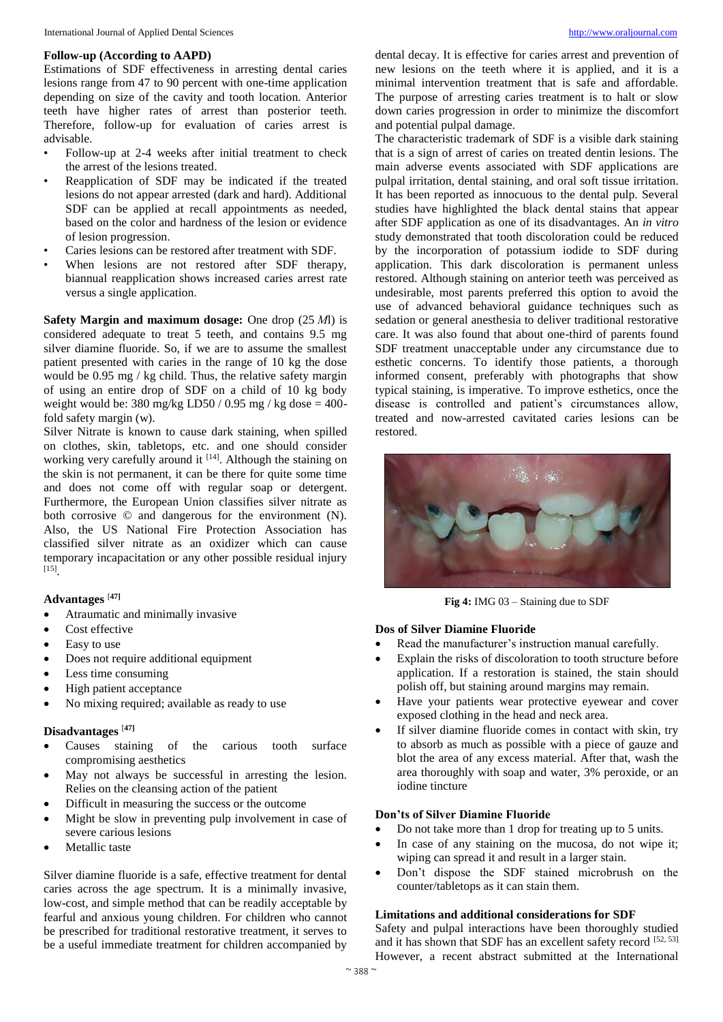## **Follow-up (According to AAPD)**

Estimations of SDF effectiveness in arresting dental caries lesions range from 47 to 90 percent with one-time application depending on size of the cavity and tooth location. Anterior teeth have higher rates of arrest than posterior teeth. Therefore, follow-up for evaluation of caries arrest is advisable.

- Follow-up at 2-4 weeks after initial treatment to check the arrest of the lesions treated.
- Reapplication of SDF may be indicated if the treated lesions do not appear arrested (dark and hard). Additional SDF can be applied at recall appointments as needed, based on the color and hardness of the lesion or evidence of lesion progression.
- Caries lesions can be restored after treatment with SDF.
- When lesions are not restored after SDF therapy, biannual reapplication shows increased caries arrest rate versus a single application.

**Safety Margin and maximum dosage:** One drop (25 *Μ*l) is considered adequate to treat 5 teeth, and contains 9.5 mg silver diamine fluoride. So, if we are to assume the smallest patient presented with caries in the range of 10 kg the dose would be 0.95 mg / kg child. Thus, the relative safety margin of using an entire drop of SDF on a child of 10 kg body weight would be: 380 mg/kg LD50 / 0.95 mg / kg dose  $=$  400fold safety margin (w).

Silver Nitrate is known to cause dark staining, when spilled on clothes, skin, tabletops, etc. and one should consider working very carefully around it  $[14]$ . Although the staining on the skin is not permanent, it can be there for quite some time and does not come off with regular soap or detergent. Furthermore, the European Union classifies silver nitrate as both corrosive © and dangerous for the environment (N). Also, the US National Fire Protection Association has classified silver nitrate as an oxidizer which can cause temporary incapacitation or any other possible residual injury [15] .

## **Advantages** [**47]**

- Atraumatic and minimally invasive
- Cost effective
- Easy to use
- Does not require additional equipment
- Less time consuming
- High patient acceptance
- No mixing required; available as ready to use

# **Disadvantages** [**47]**

- Causes staining of the carious tooth surface compromising aesthetics
- May not always be successful in arresting the lesion. Relies on the cleansing action of the patient
- Difficult in measuring the success or the outcome
- Might be slow in preventing pulp involvement in case of severe carious lesions
- Metallic taste

Silver diamine fluoride is a safe, effective treatment for dental caries across the age spectrum. It is a minimally invasive, low-cost, and simple method that can be readily acceptable by fearful and anxious young children. For children who cannot be prescribed for traditional restorative treatment, it serves to be a useful immediate treatment for children accompanied by

dental decay. It is effective for caries arrest and prevention of new lesions on the teeth where it is applied, and it is a minimal intervention treatment that is safe and affordable. The purpose of arresting caries treatment is to halt or slow down caries progression in order to minimize the discomfort and potential pulpal damage.

The characteristic trademark of SDF is a visible dark staining that is a sign of arrest of caries on treated dentin lesions. The main adverse events associated with SDF applications are pulpal irritation, dental staining, and oral soft tissue irritation. It has been reported as innocuous to the dental pulp. Several studies have highlighted the black dental stains that appear after SDF application as one of its disadvantages. An *in vitro* study demonstrated that tooth discoloration could be reduced by the incorporation of potassium iodide to SDF during application. This dark discoloration is permanent unless restored. Although staining on anterior teeth was perceived as undesirable, most parents preferred this option to avoid the use of advanced behavioral guidance techniques such as sedation or general anesthesia to deliver traditional restorative care. It was also found that about one-third of parents found SDF treatment unacceptable under any circumstance due to esthetic concerns. To identify those patients, a thorough informed consent, preferably with photographs that show typical staining, is imperative. To improve esthetics, once the disease is controlled and patient's circumstances allow, treated and now-arrested cavitated caries lesions can be restored.



**Fig 4:** IMG 03 – Staining due to SDF

### **Dos of Silver Diamine Fluoride**

- Read the manufacturer's instruction manual carefully.
- Explain the risks of discoloration to tooth structure before application. If a restoration is stained, the stain should polish off, but staining around margins may remain.
- Have your patients wear protective eyewear and cover exposed clothing in the head and neck area.
- If silver diamine fluoride comes in contact with skin, try to absorb as much as possible with a piece of gauze and blot the area of any excess material. After that, wash the area thoroughly with soap and water, 3% peroxide, or an iodine tincture

### **Don'ts of Silver Diamine Fluoride**

- Do not take more than 1 drop for treating up to 5 units.
- In case of any staining on the mucosa, do not wipe it; wiping can spread it and result in a larger stain.
- Don't dispose the SDF stained microbrush on the counter/tabletops as it can stain them.

## **Limitations and additional considerations for SDF**

Safety and pulpal interactions have been thoroughly studied and it has shown that SDF has an excellent safety record [52, 53] However, a recent abstract submitted at the International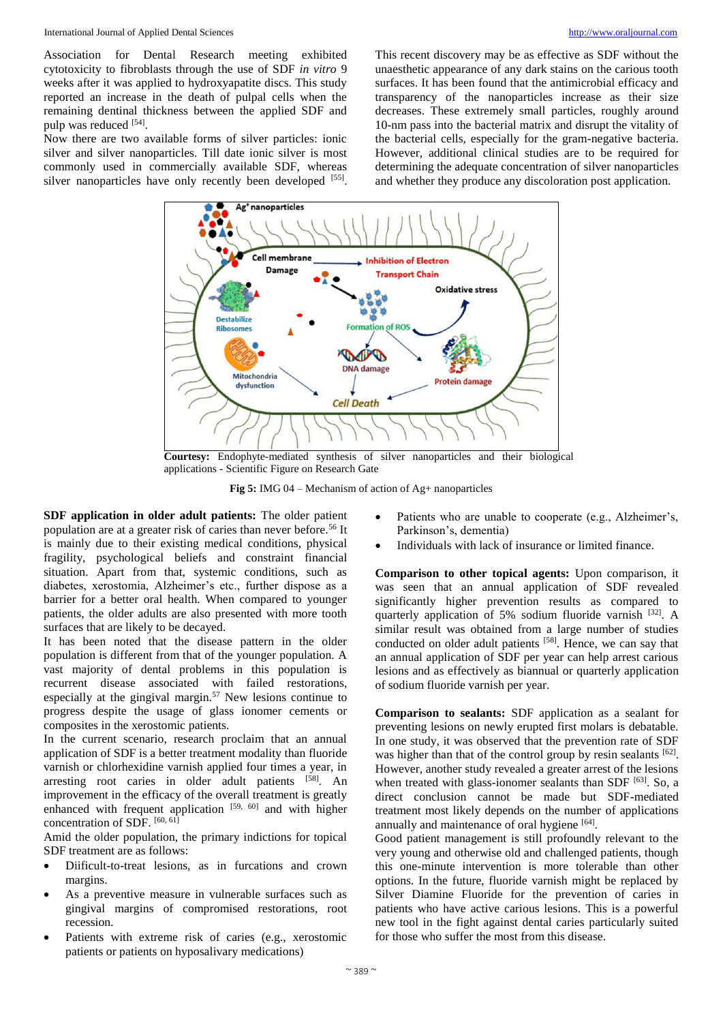Association for Dental Research meeting exhibited cytotoxicity to fibroblasts through the use of SDF *in vitro* 9 weeks after it was applied to hydroxyapatite discs. This study reported an increase in the death of pulpal cells when the remaining dentinal thickness between the applied SDF and pulp was reduced [54].

Now there are two available forms of silver particles: ionic silver and silver nanoparticles. Till date ionic silver is most commonly used in commercially available SDF, whereas silver nanoparticles have only recently been developed [55]. This recent discovery may be as effective as SDF without the unaesthetic appearance of any dark stains on the carious tooth surfaces. It has been found that the antimicrobial efficacy and transparency of the nanoparticles increase as their size decreases. These extremely small particles, roughly around 10-nm pass into the bacterial matrix and disrupt the vitality of the bacterial cells, especially for the gram-negative bacteria. However, additional clinical studies are to be required for determining the adequate concentration of silver nanoparticles and whether they produce any discoloration post application.



**Courtesy:** Endophyte-mediated synthesis of silver nanoparticles and their biological applications - Scientific Figure on Research Gate

**Fig 5:** IMG 04 – Mechanism of action of Ag+ nanoparticles

**SDF application in older adult patients:** The older patient population are at a greater risk of caries than never before.<sup>56</sup> It is mainly due to their existing medical conditions, physical fragility, psychological beliefs and constraint financial situation. Apart from that, systemic conditions, such as diabetes, xerostomia, Alzheimer's etc., further dispose as a barrier for a better oral health. When compared to younger patients, the older adults are also presented with more tooth surfaces that are likely to be decayed.

It has been noted that the disease pattern in the older population is different from that of the younger population. A vast majority of dental problems in this population is recurrent disease associated with failed restorations, especially at the gingival margin.<sup>57</sup> New lesions continue to progress despite the usage of glass ionomer cements or composites in the xerostomic patients.

In the current scenario, research proclaim that an annual application of SDF is a better treatment modality than fluoride varnish or chlorhexidine varnish applied four times a year, in arresting root caries in older adult patients [58]. An improvement in the efficacy of the overall treatment is greatly enhanced with frequent application  $[59, 60]$  and with higher concentration of SDF. [60, 61]

Amid the older population, the primary indictions for topical SDF treatment are as follows:

- Diificult-to-treat lesions, as in furcations and crown margins.
- As a preventive measure in vulnerable surfaces such as gingival margins of compromised restorations, root recession.
- Patients with extreme risk of caries (e.g., xerostomic patients or patients on hyposalivary medications)
- Patients who are unable to cooperate (e.g., Alzheimer's, Parkinson's, dementia)
- Individuals with lack of insurance or limited finance.

**Comparison to other topical agents:** Upon comparison, it was seen that an annual application of SDF revealed significantly higher prevention results as compared to quarterly application of 5% sodium fluoride varnish [32]. A similar result was obtained from a large number of studies conducted on older adult patients <sup>[58]</sup>. Hence, we can say that an annual application of SDF per year can help arrest carious lesions and as effectively as biannual or quarterly application of sodium fluoride varnish per year.

**Comparison to sealants:** SDF application as a sealant for preventing lesions on newly erupted first molars is debatable. In one study, it was observed that the prevention rate of SDF was higher than that of the control group by resin sealants  $[62]$ . However, another study revealed a greater arrest of the lesions when treated with glass-ionomer sealants than SDF  $[63]$ . So, a direct conclusion cannot be made but SDF-mediated treatment most likely depends on the number of applications annually and maintenance of oral hygiene [64].

Good patient management is still profoundly relevant to the very young and otherwise old and challenged patients, though this one-minute intervention is more tolerable than other options. In the future, fluoride varnish might be replaced by Silver Diamine Fluoride for the prevention of caries in patients who have active carious lesions. This is a powerful new tool in the fight against dental caries particularly suited for those who suffer the most from this disease.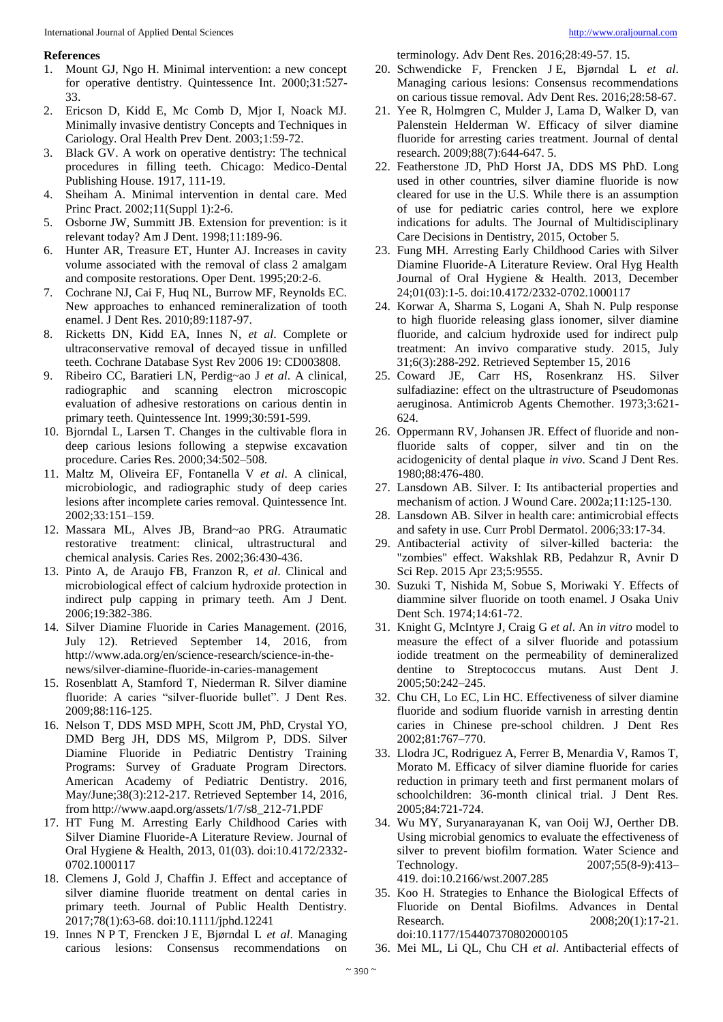### **References**

- 1. Mount GJ, Ngo H. Minimal intervention: a new concept for operative dentistry. Quintessence Int. 2000;31:527- 33.
- 2. Ericson D, Kidd E, Mc Comb D, Mjor I, Noack MJ. Minimally invasive dentistry Concepts and Techniques in Cariology. Oral Health Prev Dent. 2003;1:59-72.
- Black GV. A work on operative dentistry: The technical procedures in filling teeth. Chicago: Medico-Dental Publishing House. 1917, 111-19.
- 4. Sheiham A. Minimal intervention in dental care. Med Princ Pract. 2002;11(Suppl 1):2-6.
- 5. Osborne JW, Summitt JB. Extension for prevention: is it relevant today? Am J Dent. 1998;11:189-96.
- 6. Hunter AR, Treasure ET, Hunter AJ. Increases in cavity volume associated with the removal of class 2 amalgam and composite restorations. Oper Dent. 1995;20:2-6.
- 7. Cochrane NJ, Cai F, Huq NL, Burrow MF, Reynolds EC. New approaches to enhanced remineralization of tooth enamel. J Dent Res. 2010;89:1187-97.
- 8. Ricketts DN, Kidd EA, Innes N, *et al*. Complete or ultraconservative removal of decayed tissue in unfilled teeth. Cochrane Database Syst Rev 2006 19: CD003808.
- 9. Ribeiro CC, Baratieri LN, Perdig~ao J *et al*. A clinical, radiographic and scanning electron microscopic evaluation of adhesive restorations on carious dentin in primary teeth. Quintessence Int. 1999;30:591-599.
- 10. Bjorndal L, Larsen T. Changes in the cultivable flora in deep carious lesions following a stepwise excavation procedure. Caries Res. 2000;34:502–508.
- 11. Maltz M, Oliveira EF, Fontanella V *et al*. A clinical, microbiologic, and radiographic study of deep caries lesions after incomplete caries removal. Quintessence Int. 2002;33:151–159.
- 12. Massara ML, Alves JB, Brand~ao PRG. Atraumatic restorative treatment: clinical, ultrastructural and chemical analysis. Caries Res. 2002;36:430-436.
- 13. Pinto A, de Araujo FB, Franzon R, *et al*. Clinical and microbiological effect of calcium hydroxide protection in indirect pulp capping in primary teeth. Am J Dent. 2006;19:382-386.
- 14. Silver Diamine Fluoride in Caries Management. (2016, July 12). Retrieved September 14, 2016, from http://www.ada.org/en/science-research/science-in-thenews/silver-diamine-fluoride-in-caries-management
- 15. Rosenblatt A, Stamford T, Niederman R. Silver diamine fluoride: A caries "silver-fluoride bullet". J Dent Res. 2009;88:116-125.
- 16. Nelson T, DDS MSD MPH, Scott JM, PhD, Crystal YO, DMD Berg JH, DDS MS, Milgrom P, DDS. Silver Diamine Fluoride in Pediatric Dentistry Training Programs: Survey of Graduate Program Directors. American Academy of Pediatric Dentistry. 2016, May/June;38(3):212-217. Retrieved September 14, 2016, from http://www.aapd.org/assets/1/7/s8\_212-71.PDF
- 17. HT Fung M. Arresting Early Childhood Caries with Silver Diamine Fluoride-A Literature Review. Journal of Oral Hygiene & Health, 2013, 01(03). doi:10.4172/2332- 0702.1000117
- 18. Clemens J, Gold J, Chaffin J. Effect and acceptance of silver diamine fluoride treatment on dental caries in primary teeth. Journal of Public Health Dentistry*.* 2017;78(1):63-68. doi:10.1111/jphd.12241
- 19. Innes N P T, Frencken J E, Bjørndal L *et al*. Managing carious lesions: Consensus recommendations on

terminology. Adv Dent Res. 2016;28:49-57. 15.

- 20. Schwendicke F, Frencken J E, Bjørndal L *et al*. Managing carious lesions: Consensus recommendations on carious tissue removal. Adv Dent Res. 2016;28:58-67.
- 21. Yee R, Holmgren C, Mulder J, Lama D, Walker D, van Palenstein Helderman W. Efficacy of silver diamine fluoride for arresting caries treatment. Journal of dental research. 2009;88(7):644-647. 5.
- 22. Featherstone JD, PhD Horst JA, DDS MS PhD. Long used in other countries, silver diamine fluoride is now cleared for use in the U.S. While there is an assumption of use for pediatric caries control, here we explore indications for adults. The Journal of Multidisciplinary Care Decisions in Dentistry, 2015, October 5.
- 23. Fung MH. Arresting Early Childhood Caries with Silver Diamine Fluoride-A Literature Review. Oral Hyg Health Journal of Oral Hygiene & Health. 2013, December 24;01(03):1-5. doi:10.4172/2332-0702.1000117
- 24. Korwar A, Sharma S, Logani A, Shah N. Pulp response to high fluoride releasing glass ionomer, silver diamine fluoride, and calcium hydroxide used for indirect pulp treatment: An invivo comparative study. 2015, July 31;6(3):288-292. Retrieved September 15, 2016
- 25. Coward JE, Carr HS, Rosenkranz HS. Silver sulfadiazine: effect on the ultrastructure of Pseudomonas aeruginosa. Antimicrob Agents Chemother. 1973;3:621- 624.
- 26. Oppermann RV, Johansen JR. Effect of fluoride and nonfluoride salts of copper, silver and tin on the acidogenicity of dental plaque *in vivo*. Scand J Dent Res. 1980;88:476-480.
- 27. Lansdown AB. Silver. I: Its antibacterial properties and mechanism of action. J Wound Care. 2002a;11:125-130.
- 28. Lansdown AB. Silver in health care: antimicrobial effects and safety in use. Curr Probl Dermatol. 2006;33:17-34.
- 29. Antibacterial activity of silver-killed bacteria: the "zombies" effect. Wakshlak RB, Pedahzur R, Avnir D Sci Rep. 2015 Apr 23;5:9555.
- 30. Suzuki T, Nishida M, Sobue S, Moriwaki Y. Effects of diammine silver fluoride on tooth enamel. J Osaka Univ Dent Sch. 1974;14:61-72.
- 31. Knight G, McIntyre J, Craig G *et al*. An *in vitro* model to measure the effect of a silver fluoride and potassium iodide treatment on the permeability of demineralized dentine to Streptococcus mutans. Aust Dent J. 2005;50:242–245.
- 32. Chu CH, Lo EC, Lin HC. Effectiveness of silver diamine fluoride and sodium fluoride varnish in arresting dentin caries in Chinese pre-school children. J Dent Res 2002;81:767–770.
- 33. Llodra JC, Rodriguez A, Ferrer B, Menardia V, Ramos T, Morato M. Efficacy of silver diamine fluoride for caries reduction in primary teeth and first permanent molars of schoolchildren: 36-month clinical trial. J Dent Res. 2005;84:721-724.
- 34. Wu MY, Suryanarayanan K, van Ooij WJ, Oerther DB. Using microbial genomics to evaluate the effectiveness of silver to prevent biofilm formation*.* Water Science and Technology. 2007;55(8-9):413-419. doi:10.2166/wst.2007.285
- 35. Koo H. Strategies to Enhance the Biological Effects of Fluoride on Dental Biofilms. Advances in Dental Research. 2008;20(1):17-21. doi:10.1177/154407370802000105
- 36. Mei ML, Li QL, Chu CH *et al*. Antibacterial effects of